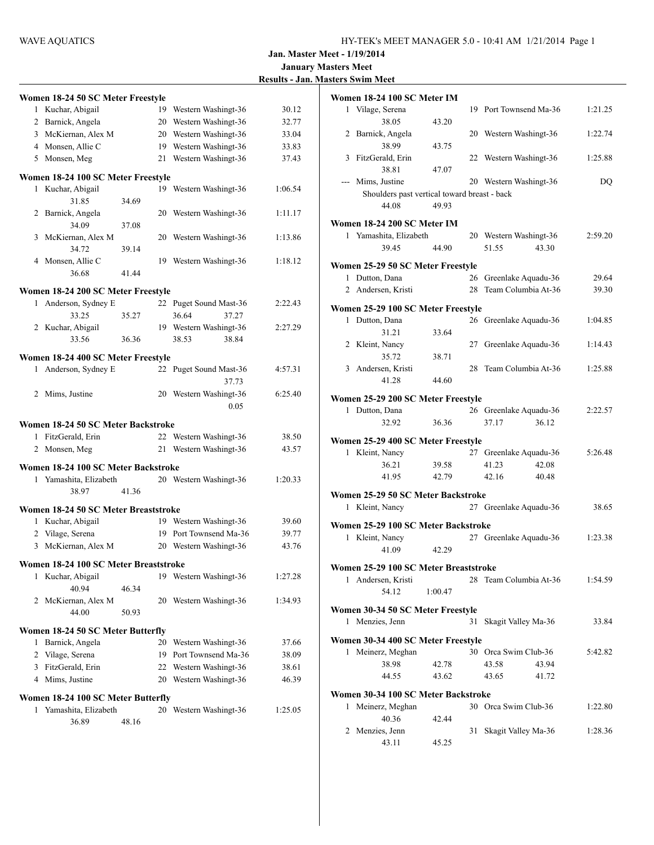| <b>Results - Jan. Masters Swim Meet</b> |  |
|-----------------------------------------|--|
|-----------------------------------------|--|

| Women 18-24 50 SC Meter Freestyle     |                                 |                                                                                        |
|---------------------------------------|---------------------------------|----------------------------------------------------------------------------------------|
|                                       | 19 Western Washingt-36          | 30.12                                                                                  |
|                                       | 20 Western Washingt-36          | 32.77                                                                                  |
| 3 McKiernan, Alex M                   | 20 Western Washingt-36          | 33.04                                                                                  |
|                                       | 19 Western Washingt-36          | 33.83                                                                                  |
|                                       | 21 Western Washingt-36          | 37.43                                                                                  |
| Women 18-24 100 SC Meter Freestyle    |                                 |                                                                                        |
|                                       | 19 Western Washingt-36          | 1:06.54                                                                                |
| 34.69                                 |                                 |                                                                                        |
|                                       | 20 Western Washingt-36          | 1:11.17                                                                                |
| 37.08                                 |                                 |                                                                                        |
| 3 McKiernan, Alex M                   | 20 Western Washingt-36          | 1:13.86                                                                                |
| 39.14                                 |                                 |                                                                                        |
|                                       | 19 Western Washingt-36          | 1:18.12                                                                                |
| 41.44                                 |                                 |                                                                                        |
| Women 18-24 200 SC Meter Freestyle    |                                 |                                                                                        |
| Anderson, Sydney E                    | 22 Puget Sound Mast-36          | 2:22.43                                                                                |
| 35.27                                 | 36.64<br>37.27                  |                                                                                        |
|                                       | 19 Western Washingt-36          | 2:27.29                                                                                |
| 36.36                                 | 38.53<br>38.84                  |                                                                                        |
| Women 18-24 400 SC Meter Freestyle    |                                 |                                                                                        |
| Anderson, Sydney E                    | 22 Puget Sound Mast-36<br>37.73 | 4:57.31                                                                                |
|                                       | 20 Western Washingt-36<br>0.05  | 6:25.40                                                                                |
| Women 18-24 50 SC Meter Backstroke    |                                 |                                                                                        |
|                                       | 22 Western Washingt-36          | 38.50                                                                                  |
|                                       | 21 Western Washingt-36          | 43.57                                                                                  |
|                                       |                                 |                                                                                        |
| Women 18-24 100 SC Meter Backstroke   |                                 |                                                                                        |
| 1 Yamashita, Elizabeth                | 20 Western Washingt-36          | 1:20.33                                                                                |
| 41.36                                 |                                 |                                                                                        |
| Women 18-24 50 SC Meter Breaststroke  |                                 |                                                                                        |
|                                       | 19 Western Washingt-36          | 39.60                                                                                  |
|                                       | 19 Port Townsend Ma-36          | 39.77                                                                                  |
| McKiernan, Alex M                     | 20 Western Washingt-36          | 43.76                                                                                  |
| Women 18-24 100 SC Meter Breaststroke |                                 |                                                                                        |
|                                       | 19 Western Washingt-36          | 1:27.28                                                                                |
| 46.34                                 |                                 |                                                                                        |
| 2 McKiernan, Alex M                   | 20 Western Washingt-36          | 1:34.93                                                                                |
| 50.93                                 |                                 |                                                                                        |
| Women 18-24 50 SC Meter Butterfly     |                                 |                                                                                        |
|                                       | 20 Western Washingt-36          | 37.66                                                                                  |
|                                       | 19 Port Townsend Ma-36          | 38.09                                                                                  |
|                                       | 22 Western Washingt-36          | 38.61                                                                                  |
|                                       |                                 | 46.39                                                                                  |
|                                       |                                 |                                                                                        |
| 1 Yamashita, Elizabeth                |                                 | 1:25.05                                                                                |
| 48.16                                 |                                 |                                                                                        |
|                                       |                                 | 20 Western Washingt-36<br>Women 18-24 100 SC Meter Butterfly<br>20 Western Washingt-36 |

|   | Women 18-24 100 SC Meter IM                        |         |    |                        |       |         |
|---|----------------------------------------------------|---------|----|------------------------|-------|---------|
|   | 1 Vilage, Serena                                   |         |    | 19 Port Townsend Ma-36 |       | 1:21.25 |
|   | 38.05                                              | 43.20   |    |                        |       |         |
|   | 2 Barnick, Angela                                  |         |    | 20 Western Washingt-36 |       | 1:22.74 |
|   | 38.99                                              | 43.75   |    |                        |       |         |
| 3 | FitzGerald, Erin                                   |         | 22 | Western Washingt-36    |       | 1:25.88 |
|   | 38.81                                              | 47.07   |    |                        |       |         |
|   | --- Mims, Justine                                  |         |    | 20 Western Washingt-36 |       | DQ      |
|   | Shoulders past vertical toward breast - back       |         |    |                        |       |         |
|   | 44.08                                              | 49.93   |    |                        |       |         |
|   | Women 18-24 200 SC Meter IM                        |         |    |                        |       |         |
|   | 1 Yamashita, Elizabeth                             |         |    | 20 Western Washingt-36 |       | 2:59.20 |
|   | 39.45                                              | 44.90   |    | 51.55                  | 43.30 |         |
|   |                                                    |         |    |                        |       |         |
|   | Women 25-29 50 SC Meter Freestyle                  |         |    |                        |       |         |
|   | 1 Dutton, Dana                                     |         |    | 26 Greenlake Aquadu-36 |       | 29.64   |
|   | 2 Andersen, Kristi                                 |         |    | 28 Team Columbia At-36 |       | 39.30   |
|   | Women 25-29 100 SC Meter Freestyle                 |         |    |                        |       |         |
| 1 | Dutton, Dana                                       |         |    | 26 Greenlake Aquadu-36 |       | 1:04.85 |
|   | 31.21                                              | 33.64   |    |                        |       |         |
|   | 2 Kleint, Nancy                                    |         |    | 27 Greenlake Aquadu-36 |       | 1:14.43 |
|   | 35.72                                              | 38.71   |    |                        |       |         |
|   | 3 Andersen, Kristi                                 |         | 28 | Team Columbia At-36    |       | 1:25.88 |
|   | 41.28                                              | 44.60   |    |                        |       |         |
|   | Women 25-29 200 SC Meter Freestyle                 |         |    |                        |       |         |
| 1 | Dutton, Dana                                       |         |    | 26 Greenlake Aquadu-36 |       | 2:22.57 |
|   | 32.92                                              | 36.36   |    | 37.17                  | 36.12 |         |
|   |                                                    |         |    |                        |       |         |
|   | Women 25-29 400 SC Meter Freestyle                 |         |    |                        |       |         |
|   | 1 Kleint, Nancy                                    |         |    | 27 Greenlake Aquadu-36 |       | 5:26.48 |
|   | 36.21                                              | 39.58   |    | 41.23                  | 42.08 |         |
|   | 41.95                                              | 42.79   |    | 42.16                  | 40.48 |         |
|   | Women 25-29 50 SC Meter Backstroke                 |         |    |                        |       |         |
| 1 | Kleint, Nancy                                      |         |    | 27 Greenlake Aquadu-36 |       | 38.65   |
|   |                                                    |         |    |                        |       |         |
|   | Women 25-29 100 SC Meter Backstroke                |         |    |                        |       |         |
| 1 | Kleint, Nancy                                      |         |    | 27 Greenlake Aquadu-36 |       | 1:23.38 |
|   | 41.09                                              | 42.29   |    |                        |       |         |
|   | Women 25-29 100 SC Meter Breaststroke              |         |    |                        |       |         |
|   | 1 Andersen, Kristi                                 |         |    | 28 Team Columbia At-36 |       | 1:54.59 |
|   | 54.12                                              | 1:00.47 |    |                        |       |         |
|   |                                                    |         |    |                        |       |         |
|   | Women 30-34 50 SC Meter Freestyle<br>Menzies, Jenn |         |    |                        |       |         |
| 1 |                                                    |         | 31 | Skagit Valley Ma-36    |       | 33.84   |
|   | Women 30-34 400 SC Meter Freestyle                 |         |    |                        |       |         |
| 1 | Meinerz, Meghan                                    |         |    | 30 Orca Swim Club-36   |       | 5:42.82 |
|   | 38.98                                              | 42.78   |    | 43.58                  | 43.94 |         |
|   | 44.55                                              | 43.62   |    | 43.65                  | 41.72 |         |
|   | Women 30-34 100 SC Meter Backstroke                |         |    |                        |       |         |
| 1 | Meinerz, Meghan                                    |         |    | 30 Orca Swim Club-36   |       | 1:22.80 |
|   | 40.36                                              | 42.44   |    |                        |       |         |
|   | 2 Menzies, Jenn                                    |         | 31 | Skagit Valley Ma-36    |       | 1:28.36 |
|   | 43.11                                              | 45.25   |    |                        |       |         |
|   |                                                    |         |    |                        |       |         |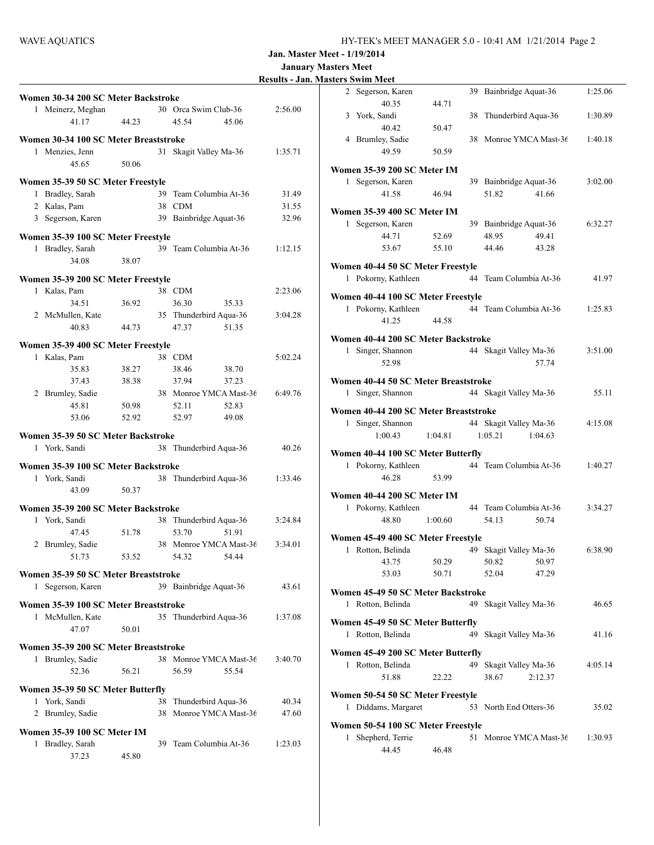|  | <b>Results - Jan. Masters Swim Meet</b> |  |
|--|-----------------------------------------|--|
|  |                                         |  |

|   |                                       |       |    |                        | <b>Kesults - Jai</b> |
|---|---------------------------------------|-------|----|------------------------|----------------------|
|   | Women 30-34 200 SC Meter Backstroke   |       |    |                        |                      |
|   | 1 Meinerz, Meghan                     |       |    | 30 Orca Swim Club-36   | 2:56.00              |
|   | 41.17                                 | 44.23 |    | 45.54<br>45.06         |                      |
|   |                                       |       |    |                        |                      |
|   | Women 30-34 100 SC Meter Breaststroke |       |    |                        |                      |
|   | 1 Menzies, Jenn                       |       |    | 31 Skagit Valley Ma-36 | 1:35.71              |
|   | 45.65                                 | 50.06 |    |                        |                      |
|   |                                       |       |    |                        |                      |
|   | Women 35-39 50 SC Meter Freestyle     |       |    |                        |                      |
|   | 1 Bradley, Sarah                      |       | 39 | Team Columbia At-36    | 31.49                |
|   | 2 Kalas, Pam                          |       |    | 38 CDM                 | 31.55                |
|   | 3 Segerson, Karen                     |       |    | 39 Bainbridge Aquat-36 | 32.96                |
|   | Women 35-39 100 SC Meter Freestyle    |       |    |                        |                      |
|   | 1 Bradley, Sarah                      |       |    | 39 Team Columbia At-36 | 1:12.15              |
|   | 34.08                                 | 38.07 |    |                        |                      |
|   |                                       |       |    |                        |                      |
|   | Women 35-39 200 SC Meter Freestyle    |       |    |                        |                      |
|   | 1 Kalas, Pam                          |       |    | 38 CDM                 | 2:23.06              |
|   | 34.51                                 | 36.92 |    | 36.30<br>35.33         |                      |
|   | 2 McMullen, Kate                      |       |    | 35 Thunderbird Aqua-36 | 3:04.28              |
|   | 40.83                                 | 44.73 |    | 47.37<br>51.35         |                      |
|   |                                       |       |    |                        |                      |
|   | Women 35-39 400 SC Meter Freestyle    |       |    |                        |                      |
|   | 1 Kalas, Pam                          |       |    | 38 CDM                 | 5:02.24              |
|   | 35.83                                 | 38.27 |    | 38.46<br>38.70         |                      |
|   | 37.43                                 | 38.38 |    | 37.94<br>37.23         |                      |
|   | 2 Brumley, Sadie                      |       |    | 38 Monroe YMCA Mast-36 | 6:49.76              |
|   | 45.81                                 | 50.98 |    | 52.11<br>52.83         |                      |
|   | 53.06                                 | 52.92 |    | 52.97<br>49.08         |                      |
|   |                                       |       |    |                        |                      |
|   | Women 35-39 50 SC Meter Backstroke    |       |    |                        |                      |
|   | 1 York, Sandi                         |       | 38 | Thunderbird Aqua-36    | 40.26                |
|   | Women 35-39 100 SC Meter Backstroke   |       |    |                        |                      |
|   | 1 York, Sandi                         |       |    | 38 Thunderbird Aqua-36 | 1:33.46              |
|   | 43.09                                 | 50.37 |    |                        |                      |
|   |                                       |       |    |                        |                      |
|   | Women 35-39 200 SC Meter Backstroke   |       |    |                        |                      |
| 1 | York, Sandi                           |       |    | 38 Thunderbird Aqua-36 | 3:24.84              |
|   | 47.45                                 | 51.78 |    | 53.70<br>51.91         |                      |
|   | 2 Brumley, Sadie                      |       |    | 38 Monroe YMCA Mast-36 | 3:34.01              |
|   | 51.73                                 | 53.52 |    | 54.32 54.44            |                      |
|   | Women 35-39 50 SC Meter Breaststroke  |       |    |                        |                      |
|   |                                       |       |    |                        |                      |
| 1 | Segerson, Karen                       |       |    | 39 Bainbridge Aquat-36 | 43.61                |
|   | Women 35-39 100 SC Meter Breaststroke |       |    |                        |                      |
| 1 | McMullen, Kate                        |       |    | 35 Thunderbird Aqua-36 | 1:37.08              |
|   | 47.07                                 | 50.01 |    |                        |                      |
|   |                                       |       |    |                        |                      |
|   | Women 35-39 200 SC Meter Breaststroke |       |    |                        |                      |
|   | 1 Brumley, Sadie                      |       |    | 38 Monroe YMCA Mast-36 | 3:40.70              |
|   | 52.36                                 | 56.21 |    | 56.59<br>55.54         |                      |
|   | Women 35-39 50 SC Meter Butterfly     |       |    |                        |                      |
|   |                                       |       |    |                        |                      |
|   | 1 York, Sandi                         |       | 38 | Thunderbird Aqua-36    | 40.34                |
|   | 2 Brumley, Sadie                      |       | 38 | Monroe YMCA Mast-36    | 47.60                |
|   | <b>Women 35-39 100 SC Meter IM</b>    |       |    |                        |                      |
|   | 1 Bradley, Sarah                      |       |    | 39 Team Columbia At-36 | 1:23.03              |
|   | 37.23                                 | 45.80 |    |                        |                      |
|   |                                       |       |    |                        |                      |

|   | 2 Segerson, Karen                                      |         | 39 | Bainbridge Aquat-36    | 1:25.06 |
|---|--------------------------------------------------------|---------|----|------------------------|---------|
|   | 40.35                                                  | 44.71   |    |                        |         |
|   | 3 York, Sandi                                          |         | 38 | Thunderbird Aqua-36    | 1:30.89 |
|   | 40.42                                                  | 50.47   |    |                        |         |
|   | 4 Brumley, Sadie                                       |         |    | 38 Monroe YMCA Mast-36 | 1:40.18 |
|   | 49.59                                                  | 50.59   |    |                        |         |
|   |                                                        |         |    |                        |         |
|   | Women 35-39 200 SC Meter IM                            |         |    |                        |         |
|   | 1 Segerson, Karen                                      |         |    | 39 Bainbridge Aquat-36 | 3:02.00 |
|   | 41.58                                                  | 46.94   |    | 51.82<br>41.66         |         |
|   | Women 35-39 400 SC Meter IM                            |         |    |                        |         |
| 1 | Segerson, Karen                                        |         |    | 39 Bainbridge Aquat-36 | 6:32.27 |
|   | 44.71                                                  | 52.69   |    | 48.95<br>49.41         |         |
|   | 53.67                                                  | 55.10   |    | 44.46<br>43.28         |         |
|   |                                                        |         |    |                        |         |
|   | Women 40-44 50 SC Meter Freestyle                      |         |    |                        |         |
| 1 | Pokorny, Kathleen                                      |         |    | 44 Team Columbia At-36 | 41.97   |
|   |                                                        |         |    |                        |         |
|   | Women 40-44 100 SC Meter Freestyle                     |         |    |                        |         |
| 1 | Pokorny, Kathleen                                      |         |    | 44 Team Columbia At-36 | 1:25.83 |
|   | 41.25                                                  | 44.58   |    |                        |         |
|   | Women 40-44 200 SC Meter Backstroke                    |         |    |                        |         |
| 1 | Singer, Shannon                                        |         |    | 44 Skagit Valley Ma-36 | 3:51.00 |
|   | 52.98                                                  |         |    | 57.74                  |         |
|   |                                                        |         |    |                        |         |
|   | Women 40-44 50 SC Meter Breaststroke                   |         |    |                        |         |
| 1 | Singer, Shannon                                        |         |    | 44 Skagit Valley Ma-36 | 55.11   |
|   | Women 40-44 200 SC Meter Breaststroke                  |         |    |                        |         |
| 1 | Singer, Shannon                                        |         |    | 44 Skagit Valley Ma-36 | 4:15.08 |
|   | 1:00.43                                                | 1:04.81 |    | 1:05.21<br>1:04.63     |         |
|   |                                                        |         |    |                        |         |
|   | Women 40-44 100 SC Meter Butterfly                     |         |    |                        |         |
| 1 | Pokorny, Kathleen                                      |         |    | 44 Team Columbia At-36 | 1:40.27 |
|   | 46.28                                                  | 53.99   |    |                        |         |
|   |                                                        |         |    |                        |         |
|   | Women 40-44 200 SC Meter IM                            |         |    |                        |         |
|   | 1 Pokorny, Kathleen                                    |         |    | 44 Team Columbia At-36 | 3:34.27 |
|   | 48.80                                                  | 1:00.60 |    | 54.13<br>50.74         |         |
|   | Women 45-49 400 SC Meter Freestyle                     |         |    |                        |         |
| 1 | Rotton, Belinda                                        |         |    | 49 Skagit Valley Ma-36 | 6:38.90 |
|   | 43.75                                                  | 50.29   |    | 50.97<br>50.82         |         |
|   | 53.03                                                  | 50.71   |    | 52.04<br>47.29         |         |
|   |                                                        |         |    |                        |         |
|   | Women 45-49 50 SC Meter Backstroke                     |         |    |                        |         |
| 1 | Rotton, Belinda                                        |         |    | 49 Skagit Valley Ma-36 | 46.65   |
|   | Women 45-49 50 SC Meter Butterfly                      |         |    |                        |         |
| 1 | Rotton, Belinda                                        |         |    | 49 Skagit Valley Ma-36 | 41.16   |
|   |                                                        |         |    |                        |         |
|   |                                                        |         |    |                        |         |
|   | Women 45-49 200 SC Meter Butterfly                     |         |    |                        |         |
| 1 | Rotton, Belinda                                        |         |    | 49 Skagit Valley Ma-36 | 4:05.14 |
|   | 51.88                                                  | 22.22   |    | 38.67<br>2:12.37       |         |
|   |                                                        |         |    |                        |         |
|   | Women 50-54 50 SC Meter Freestyle                      |         |    |                        |         |
| 1 | Diddams, Margaret                                      |         |    | 53 North End Otters-36 | 35.02   |
|   |                                                        |         |    |                        |         |
| 1 | Women 50-54 100 SC Meter Freestyle<br>Shepherd, Terrie |         |    | 51 Monroe YMCA Mast-36 | 1:30.93 |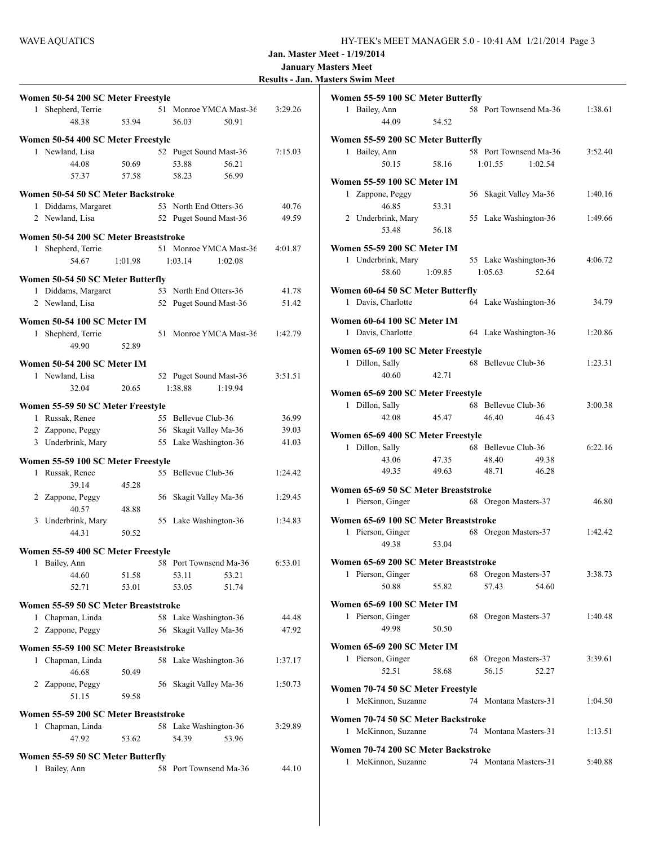|  |  | <b>Results - Jan. Masters Swim Meet</b> |  |  |
|--|--|-----------------------------------------|--|--|
|--|--|-----------------------------------------|--|--|

| Women 50-54 200 SC Meter Freestyle    |    |                                              |         |
|---------------------------------------|----|----------------------------------------------|---------|
| Shepherd, Terrie<br>1                 |    | 51 Monroe YMCA Mast-36                       | 3:29.26 |
| 48.38<br>53.94                        |    | 50.91<br>56.03                               |         |
| Women 50-54 400 SC Meter Freestyle    |    |                                              |         |
| 1 Newland, Lisa                       |    | 52 Puget Sound Mast-36                       | 7:15.03 |
| 44.08<br>50.69                        |    | 53.88<br>56.21                               |         |
| 57.37<br>57.58                        |    | 58.23<br>56.99                               |         |
| Women 50-54 50 SC Meter Backstroke    |    |                                              |         |
| 1 Diddams, Margaret                   |    | 53 North End Otters-36                       | 40.76   |
| 2 Newland, Lisa                       |    | 52 Puget Sound Mast-36                       | 49.59   |
|                                       |    |                                              |         |
| Women 50-54 200 SC Meter Breaststroke |    |                                              |         |
| 1 Shepherd, Terrie                    |    | 51 Monroe YMCA Mast-36                       | 4:01.87 |
| 54.67<br>1:01.98                      |    | 1:03.14<br>1:02.08                           |         |
| Women 50-54 50 SC Meter Butterfly     |    |                                              |         |
| 1 Diddams, Margaret                   |    | 53 North End Otters-36                       | 41.78   |
| 2 Newland, Lisa                       | 52 | Puget Sound Mast-36                          | 51.42   |
| Women 50-54 100 SC Meter IM           |    |                                              |         |
| 1 Shepherd, Terrie                    | 51 | Monroe YMCA Mast-36                          | 1:42.79 |
| 49.90<br>52.89                        |    |                                              |         |
|                                       |    |                                              |         |
| <b>Women 50-54 200 SC Meter IM</b>    |    |                                              |         |
| 1 Newland, Lisa<br>32.04<br>20.65     |    | 52 Puget Sound Mast-36<br>1:38.88<br>1:19.94 | 3:51.51 |
|                                       |    |                                              |         |
| Women 55-59 50 SC Meter Freestyle     |    |                                              |         |
| 1 Russak, Renee                       |    | 55 Bellevue Club-36                          | 36.99   |
| 2 Zappone, Peggy                      |    | 56 Skagit Valley Ma-36                       | 39.03   |
| 3 Underbrink, Mary                    |    | 55 Lake Washington-36                        | 41.03   |
| Women 55-59 100 SC Meter Freestyle    |    |                                              |         |
| 1 Russak, Renee                       |    | 55 Bellevue Club-36                          | 1:24.42 |
| 39.14<br>45.28                        |    |                                              |         |
| 2 Zappone, Peggy                      |    | 56 Skagit Valley Ma-36                       | 1:29.45 |
| 40.57<br>48.88                        |    |                                              |         |
| 3 Underbrink, Mary                    |    | 55 Lake Washington-36                        | 1:34.83 |
| 44.31<br>50.52                        |    |                                              |         |
| Women 55-59 400 SC Meter Freestyle    |    |                                              |         |
| 1 Bailey, Ann                         |    | 58 Port Townsend Ma-36                       | 6:53.01 |
| 44.60<br>51.58                        |    | 53.11<br>53.21                               |         |
| 52.71<br>53.01                        |    | 53.05<br>51.74                               |         |
| Women 55-59 50 SC Meter Breaststroke  |    |                                              |         |
| Chapman, Linda<br>1                   |    | 58 Lake Washington-36                        | 44.48   |
| 2 Zappone, Peggy                      | 56 | Skagit Valley Ma-36                          | 47.92   |
| Women 55-59 100 SC Meter Breaststroke |    |                                              |         |
| 1 Chapman, Linda                      |    | 58 Lake Washington-36                        | 1:37.17 |
| 46.68<br>50.49                        |    |                                              |         |
| 2 Zappone, Peggy                      |    | 56 Skagit Valley Ma-36                       | 1:50.73 |
| 51.15<br>59.58                        |    |                                              |         |
|                                       |    |                                              |         |
| Women 55-59 200 SC Meter Breaststroke |    |                                              |         |
| 1 Chapman, Linda<br>47.92<br>53.62    |    | 58 Lake Washington-36<br>54.39<br>53.96      | 3:29.89 |
|                                       |    |                                              |         |
| Women 55-59 50 SC Meter Butterfly     |    |                                              |         |
| Bailey, Ann<br>1                      | 58 | Port Townsend Ma-36                          | 44.10   |
|                                       |    |                                              |         |

| Women 55-59 100 SC Meter Butterfly                                     |         |                                              |         |
|------------------------------------------------------------------------|---------|----------------------------------------------|---------|
| $\mathbf{1}$<br>Bailey, Ann<br>44.09                                   | 54.52   | 58 Port Townsend Ma-36                       | 1:38.61 |
| Women 55-59 200 SC Meter Butterfly                                     |         |                                              |         |
| 1 Bailey, Ann<br>50.15                                                 | 58.16   | 58 Port Townsend Ma-36<br>1:02.54<br>1:01.55 | 3:52.40 |
| Women 55-59 100 SC Meter IM                                            |         |                                              |         |
| 1 Zappone, Peggy<br>46.85                                              | 53.31   | 56 Skagit Valley Ma-36                       | 1:40.16 |
| 2 Underbrink, Mary<br>53.48                                            | 56.18   | 55 Lake Washington-36                        | 1:49.66 |
| Women 55-59 200 SC Meter IM                                            |         |                                              |         |
| 1 Underbrink, Mary<br>58.60                                            | 1:09.85 | 55 Lake Washington-36<br>52.64<br>1:05.63    | 4:06.72 |
|                                                                        |         |                                              |         |
| Women 60-64 50 SC Meter Butterfly<br>1 Davis, Charlotte                |         | 64 Lake Washington-36                        | 34.79   |
| Women 60-64 100 SC Meter IM<br>1 Davis, Charlotte                      |         | 64 Lake Washington-36                        | 1:20.86 |
| Women 65-69 100 SC Meter Freestyle                                     |         |                                              |         |
| Dillon, Sally<br>1<br>40.60                                            | 42.71   | 68 Bellevue Club-36                          | 1:23.31 |
| Women 65-69 200 SC Meter Freestyle                                     |         |                                              |         |
| 1 Dillon, Sally                                                        |         | 68 Bellevue Club-36                          | 3:00.38 |
| 42.08                                                                  | 45.47   | 46.40<br>46.43                               |         |
| Women 65-69 400 SC Meter Freestyle                                     |         |                                              |         |
| 1 Dillon, Sally                                                        |         | 68 Bellevue Club-36                          | 6:22.16 |
| 43.06                                                                  | 47.35   | 48.40<br>49.38                               |         |
| 49.35                                                                  | 49.63   | 48.71<br>46.28                               |         |
| Women 65-69 50 SC Meter Breaststroke<br>1 Pierson, Ginger              |         | 68 Oregon Masters-37                         | 46.80   |
|                                                                        |         |                                              |         |
| Women 65-69 100 SC Meter Breaststroke                                  |         |                                              |         |
| 1 Pierson, Ginger<br>49.38                                             | 53.04   | 68 Oregon Masters-37                         | 1:42.42 |
| Women 65-69 200 SC Meter Breaststroke                                  |         |                                              |         |
| 1 Pierson, Ginger                                                      |         | 68 Oregon Masters-37                         | 3:38.73 |
| 50.88                                                                  | 55.82   | 57.43<br>54.60                               |         |
| Women 65-69 100 SC Meter IM                                            |         |                                              |         |
| 1 Pierson, Ginger<br>49.98                                             | 50.50   | 68 Oregon Masters-37                         | 1:40.48 |
| Women 65-69 200 SC Meter IM                                            |         |                                              |         |
| 1 Pierson, Ginger                                                      |         | 68 Oregon Masters-37                         | 3:39.61 |
| 52.51                                                                  | 58.68   | 56.15<br>52.27                               |         |
| Women 70-74 50 SC Meter Freestyle<br>$\mathbf{1}$<br>McKinnon, Suzanne |         | 74 Montana Masters-31                        | 1:04.50 |
|                                                                        |         |                                              |         |
| Women 70-74 50 SC Meter Backstroke<br>1 McKinnon, Suzanne              |         | 74 Montana Masters-31                        | 1:13.51 |
| Women 70-74 200 SC Meter Backstroke                                    |         |                                              |         |
| 1<br>McKinnon, Suzanne                                                 |         | 74 Montana Masters-31                        | 5:40.88 |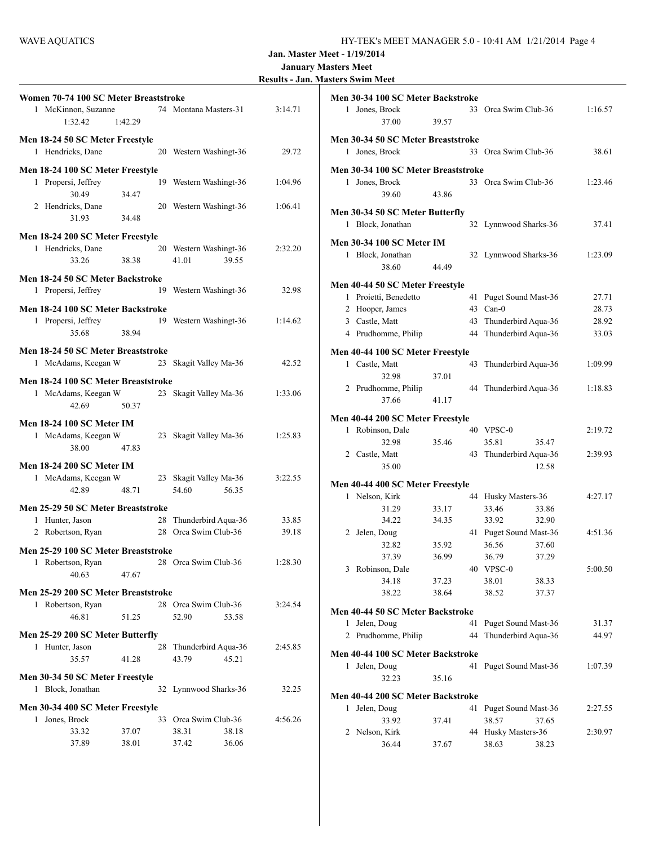|  | <b>Results - Jan. Masters Swim Meet</b> |  |
|--|-----------------------------------------|--|
|  |                                         |  |

| Women 70-74 100 SC Meter Breaststroke<br>1 McKinnon, Suzanne                               |                |    | 74 Montana Masters-31                                    | 3:14.71 |
|--------------------------------------------------------------------------------------------|----------------|----|----------------------------------------------------------|---------|
| 1:32.42                                                                                    | 1:42.29        |    |                                                          |         |
| Men 18-24 50 SC Meter Freestyle<br>1 Hendricks, Dane                                       |                |    | 20 Western Washingt-36                                   | 29.72   |
| Men 18-24 100 SC Meter Freestyle<br>1 Propersi, Jeffrey<br>30.49                           | 34.47          |    | 19 Western Washingt-36                                   | 1:04.96 |
| 2 Hendricks, Dane<br>31.93                                                                 | 34.48          |    | 20 Western Washingt-36                                   | 1:06.41 |
| Men 18-24 200 SC Meter Freestyle                                                           |                |    |                                                          |         |
| 1 Hendricks, Dane<br>33.26                                                                 | 38.38          |    | 20 Western Washingt-36<br>41.01<br>39.55                 | 2:32.20 |
| Men 18-24 50 SC Meter Backstroke                                                           |                |    |                                                          |         |
| 1 Propersi, Jeffrey                                                                        |                |    | 19 Western Washingt-36                                   | 32.98   |
| Men 18-24 100 SC Meter Backstroke<br>1 Propersi, Jeffrey<br>35.68                          | 38.94          |    | 19 Western Washingt-36                                   | 1:14.62 |
| Men 18-24 50 SC Meter Breaststroke                                                         |                |    |                                                          |         |
| 1 McAdams, Keegan W                                                                        |                |    | 23 Skagit Valley Ma-36                                   | 42.52   |
| Men 18-24 100 SC Meter Breaststroke<br>1 McAdams, Keegan W 23 Skagit Valley Ma-36<br>42.69 | 50.37          |    |                                                          | 1:33.06 |
| Men 18-24 100 SC Meter IM<br>1 McAdams, Keegan W<br>38.00                                  | 47.83          |    | 23 Skagit Valley Ma-36                                   | 1:25.83 |
| Men 18-24 200 SC Meter IM<br>1 McAdams, Keegan W<br>42.89                                  | 48.71          |    | 23 Skagit Valley Ma-36<br>54.60<br>56.35                 | 3:22.55 |
| Men 25-29 50 SC Meter Breaststroke                                                         |                |    |                                                          |         |
| 1 Hunter, Jason                                                                            |                | 28 | Thunderbird Aqua-36                                      | 33.85   |
| 2 Robertson, Ryan                                                                          |                |    | 28 Orca Swim Club-36                                     | 39.18   |
| Men 25-29 100 SC Meter Breaststroke<br>1 Robertson, Ryan 28 Orca Swim Club-36<br>40.63     | 47.67          |    |                                                          | 1:28.30 |
| Men 25-29 200 SC Meter Breaststroke                                                        |                |    |                                                          |         |
| 1 Robertson, Ryan<br>46.81                                                                 | 51.25          |    | 28 Orca Swim Club-36<br>52.90<br>53.58                   | 3:24.54 |
| Men 25-29 200 SC Meter Butterfly                                                           |                |    |                                                          |         |
| 1 Hunter, Jason<br>35.57                                                                   | 41.28          | 28 | Thunderbird Aqua-36<br>45.21<br>43.79                    | 2:45.85 |
| Men 30-34 50 SC Meter Freestyle                                                            |                |    |                                                          |         |
| 1 Block, Jonathan                                                                          |                |    | 32 Lynnwood Sharks-36                                    | 32.25   |
| Men 30-34 400 SC Meter Freestyle                                                           |                |    |                                                          |         |
| Jones, Brock<br>1<br>33.32<br>37.89                                                        | 37.07<br>38.01 |    | 33 Orca Swim Club-36<br>38.31<br>38.18<br>37.42<br>36.06 | 4:56.26 |
|                                                                                            |                |    |                                                          |         |

|              | Men 30-34 100 SC Meter Backstroke   |       |    |                         |         |
|--------------|-------------------------------------|-------|----|-------------------------|---------|
|              | 1 Jones, Brock                      |       | 33 | Orca Swim Club-36       | 1:16.57 |
|              | 37.00                               | 39.57 |    |                         |         |
|              |                                     |       |    |                         |         |
|              | Men 30-34 50 SC Meter Breaststroke  |       |    |                         |         |
| $\mathbf{1}$ | Jones, Brock                        |       |    | 33 Orca Swim Club-36    | 38.61   |
|              | Men 30-34 100 SC Meter Breaststroke |       |    |                         |         |
|              | 1 Jones, Brock                      |       |    | 33 Orea Swim Club-36    | 1:23.46 |
|              | 39.60                               | 43.86 |    |                         |         |
|              | Men 30-34 50 SC Meter Butterfly     |       |    |                         |         |
|              | 1 Block, Jonathan                   |       |    | 32 Lynnwood Sharks-36   | 37.41   |
|              |                                     |       |    |                         |         |
|              | <b>Men 30-34 100 SC Meter IM</b>    |       |    |                         |         |
|              | 1 Block, Jonathan                   |       |    | 32 Lynnwood Sharks-36   | 1:23.09 |
|              | 38.60                               | 44.49 |    |                         |         |
|              | Men 40-44 50 SC Meter Freestyle     |       |    |                         |         |
|              | 1 Proietti, Benedetto               |       | 41 | Puget Sound Mast-36     | 27.71   |
|              | 2 Hooper, James                     |       |    | 43 Can-0                | 28.73   |
|              | 3 Castle, Matt                      |       | 43 | Thunderbird Aqua-36     | 28.92   |
|              | 4 Prudhomme, Philip                 |       | 44 | Thunderbird Aqua-36     | 33.03   |
|              |                                     |       |    |                         |         |
|              | Men 40-44 100 SC Meter Freestyle    |       |    |                         |         |
|              | 1 Castle, Matt                      |       | 43 | Thunderbird Aqua-36     | 1:09.99 |
|              | 32.98                               | 37.01 |    |                         |         |
|              | 2 Prudhomme, Philip                 |       |    | 44 Thunderbird Aqua-36  | 1:18.83 |
|              | 37.66                               | 41.17 |    |                         |         |
|              | Men 40-44 200 SC Meter Freestyle    |       |    |                         |         |
|              | 1 Robinson, Dale                    |       |    | 40 VPSC-0               | 2:19.72 |
|              | 32.98                               | 35.46 |    | 35.81<br>35.47          |         |
|              | 2 Castle, Matt                      |       | 43 | Thunderbird Aqua-36     | 2:39.93 |
|              | 35.00                               |       |    | 12.58                   |         |
|              |                                     |       |    |                         |         |
|              | Men 40-44 400 SC Meter Freestyle    |       |    |                         |         |
|              | 1 Nelson, Kirk                      |       | 44 | Husky Masters-36        | 4:27.17 |
|              | 31.29<br>34.22                      | 33.17 |    | 33.46<br>33.86<br>33.92 |         |
|              |                                     | 34.35 |    | 32.90                   |         |
|              | 2 Jelen, Doug                       | 35.92 |    | 41 Puget Sound Mast-36  | 4:51.36 |
|              | 32.82<br>37.39                      |       |    | 36.56<br>37.60          |         |
|              |                                     | 36.99 |    | 36.79<br>37.29          |         |
|              | 3 Robinson, Dale                    |       |    | 40 VPSC-0               | 5:00.50 |
|              | 34.18                               | 37.23 |    | 38.01<br>38.33          |         |
|              | 38.22                               | 38.64 |    | 38.52<br>37.37          |         |
|              | Men 40-44 50 SC Meter Backstroke    |       |    |                         |         |
| 1            | Jelen, Doug                         |       | 41 | Puget Sound Mast-36     | 31.37   |
|              | 2 Prudhomme, Philip                 |       | 44 | Thunderbird Aqua-36     | 44.97   |
|              | Men 40-44 100 SC Meter Backstroke   |       |    |                         |         |
| 1            | Jelen, Doug                         |       | 41 | Puget Sound Mast-36     | 1:07.39 |
|              | 32.23                               | 35.16 |    |                         |         |
|              |                                     |       |    |                         |         |
|              | Men 40-44 200 SC Meter Backstroke   |       |    |                         |         |
| 1            | Jelen, Doug                         |       | 41 | Puget Sound Mast-36     | 2:27.55 |
|              | 33.92                               | 37.41 |    | 38.57<br>37.65          |         |
|              | 2 Nelson, Kirk                      |       |    | 44 Husky Masters-36     | 2:30.97 |
|              | 36.44                               | 37.67 |    | 38.63<br>38.23          |         |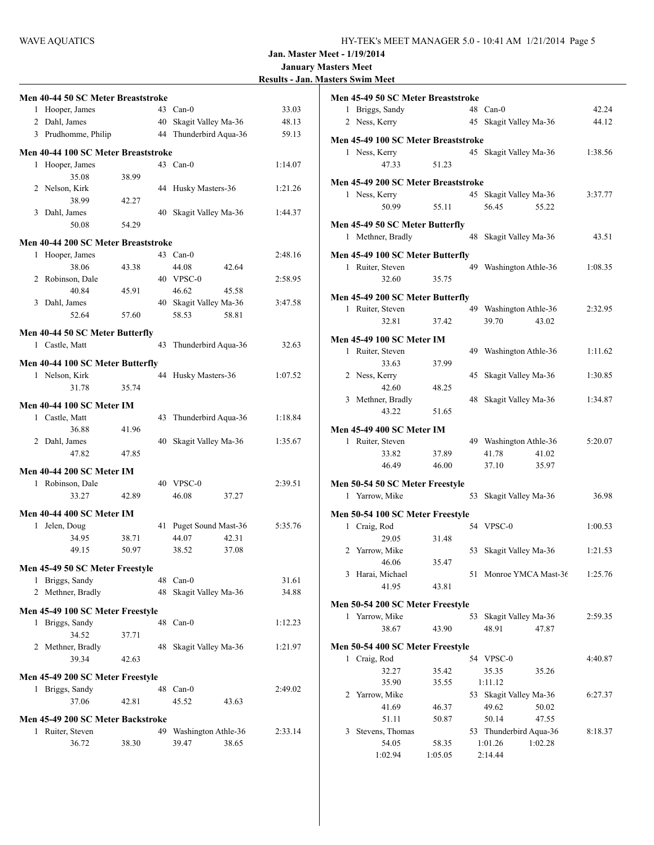|  | <b>Results - Jan. Masters Swim Meet</b> |
|--|-----------------------------------------|
|  |                                         |

|   | Men 40-44 50 SC Meter Breaststroke  |       |    |                        |       |         |
|---|-------------------------------------|-------|----|------------------------|-------|---------|
|   | 1 Hooper, James                     |       |    | 43 Can-0               |       | 33.03   |
|   | 2 Dahl, James                       |       | 40 | Skagit Valley Ma-36    |       | 48.13   |
|   |                                     |       |    | 44 Thunderbird Aqua-36 |       |         |
|   | 3 Prudhomme, Philip                 |       |    |                        |       | 59.13   |
|   | Men 40-44 100 SC Meter Breaststroke |       |    |                        |       |         |
|   | 1 Hooper, James                     |       |    | 43 Can-0               |       | 1:14.07 |
|   | 35.08                               | 38.99 |    |                        |       |         |
|   | 2 Nelson, Kirk                      |       | 44 | Husky Masters-36       |       | 1:21.26 |
|   | 38.99                               | 42.27 |    |                        |       |         |
| 3 | Dahl, James                         |       | 40 | Skagit Valley Ma-36    |       | 1:44.37 |
|   | 50.08                               | 54.29 |    |                        |       |         |
|   | Men 40-44 200 SC Meter Breaststroke |       |    |                        |       |         |
|   | 1 Hooper, James                     |       |    | 43 Can-0               |       | 2:48.16 |
|   | 38.06                               | 43.38 |    | 44.08                  | 42.64 |         |
|   | 2 Robinson, Dale                    |       |    | 40 VPSC-0              |       | 2:58.95 |
|   | 40.84                               | 45.91 |    | 46.62                  | 45.58 |         |
| 3 | Dahl, James                         |       |    | 40 Skagit Valley Ma-36 |       | 3:47.58 |
|   | 52.64                               | 57.60 |    | 58.53                  | 58.81 |         |
|   |                                     |       |    |                        |       |         |
|   | Men 40-44 50 SC Meter Butterfly     |       |    |                        |       |         |
|   | 1 Castle, Matt                      |       | 43 | Thunderbird Aqua-36    |       | 32.63   |
|   | Men 40-44 100 SC Meter Butterfly    |       |    |                        |       |         |
|   | 1 Nelson, Kirk                      |       | 44 | Husky Masters-36       |       | 1:07.52 |
|   | 31.78                               | 35.74 |    |                        |       |         |
|   |                                     |       |    |                        |       |         |
|   | <b>Men 40-44 100 SC Meter IM</b>    |       |    |                        |       |         |
|   | 1 Castle, Matt                      |       | 43 | Thunderbird Aqua-36    |       | 1:18.84 |
|   | 36.88                               | 41.96 |    |                        |       |         |
|   | 2 Dahl, James                       |       | 40 | Skagit Valley Ma-36    |       | 1:35.67 |
|   | 47.82                               | 47.85 |    |                        |       |         |
|   | <b>Men 40-44 200 SC Meter IM</b>    |       |    |                        |       |         |
|   | 1 Robinson, Dale                    |       |    | 40 VPSC-0              |       | 2:39.51 |
|   | 33.27                               | 42.89 |    | 46.08                  | 37.27 |         |
|   |                                     |       |    |                        |       |         |
|   | <b>Men 40-44 400 SC Meter IM</b>    |       |    |                        |       |         |
|   | 1 Jelen, Doug                       |       | 41 | Puget Sound Mast-36    |       | 5:35.76 |
|   | 34.95                               | 38.71 |    | 44.07                  | 42.31 |         |
|   | 49.15                               | 50.97 |    | 38.52                  | 37.08 |         |
|   | Men 45-49 50 SC Meter Freestyle     |       |    |                        |       |         |
| 1 | Briggs, Sandy                       |       |    | 48 Can-0               |       | 31.61   |
|   | 2 Methner, Bradly                   |       | 48 | Skagit Valley Ma-36    |       | 34.88   |
|   |                                     |       |    |                        |       |         |
|   | Men 45-49 100 SC Meter Freestyle    |       |    |                        |       |         |
|   | 1 Briggs, Sandy                     |       |    | 48 Can-0               |       | 1:12.23 |
|   | 34.52                               | 37.71 |    |                        |       |         |
|   | 2 Methner, Bradly                   |       | 48 | Skagit Valley Ma-36    |       | 1:21.97 |
|   | 39.34                               | 42.63 |    |                        |       |         |
|   | Men 45-49 200 SC Meter Freestyle    |       |    |                        |       |         |
|   | 1 Briggs, Sandy                     |       |    | 48 Can-0               |       | 2:49.02 |
|   | 37.06                               | 42.81 |    | 45.52                  | 43.63 |         |
|   |                                     |       |    |                        |       |         |
|   | Men 45-49 200 SC Meter Backstroke   |       |    |                        |       |         |
| 1 | Ruiter, Steven                      |       | 49 | Washington Athle-36    |       | 2:33.14 |
|   | 36.72                               | 38.30 |    | 39.47                  | 38.65 |         |
|   |                                     |       |    |                        |       |         |

|   | Men 45-49 50 SC Meter Breaststroke                   |         |    |                                           |         |
|---|------------------------------------------------------|---------|----|-------------------------------------------|---------|
|   | 1 Briggs, Sandy                                      |         |    | 48 Can-0                                  | 42.24   |
|   | 2 Ness, Kerry                                        |         |    | 45 Skagit Valley Ma-36                    | 44.12   |
|   | Men 45-49 100 SC Meter Breaststroke                  |         |    |                                           |         |
|   | 1 Ness, Kerry                                        |         |    | 45 Skagit Valley Ma-36                    | 1:38.56 |
|   | 47.33                                                | 51.23   |    |                                           |         |
|   |                                                      |         |    |                                           |         |
|   | Men 45-49 200 SC Meter Breaststroke                  |         |    |                                           |         |
|   | 1 Ness, Kerry<br>50.99                               | 55.11   |    | 45 Skagit Valley Ma-36<br>56.45<br>55.22  | 3:37.77 |
|   |                                                      |         |    |                                           |         |
|   | Men 45-49 50 SC Meter Butterfly                      |         |    |                                           |         |
|   | 1 Methner, Bradly                                    |         | 48 | Skagit Valley Ma-36                       | 43.51   |
|   | Men 45-49 100 SC Meter Butterfly                     |         |    |                                           |         |
|   | 1 Ruiter, Steven                                     |         |    | 49 Washington Athle-36                    | 1:08.35 |
|   | 32.60                                                | 35.75   |    |                                           |         |
|   | Men 45-49 200 SC Meter Butterfly                     |         |    |                                           |         |
|   | 1 Ruiter, Steven                                     |         |    | 49 Washington Athle-36                    | 2:32.95 |
|   | 32.81                                                | 37.42   |    | 43.02<br>39.70                            |         |
|   |                                                      |         |    |                                           |         |
|   | Men 45-49 100 SC Meter IM                            |         | 49 |                                           |         |
|   | 1 Ruiter, Steven<br>33.63                            | 37.99   |    | Washington Athle-36                       | 1:11.62 |
|   | 2 Ness, Kerry                                        |         | 45 | Skagit Valley Ma-36                       | 1:30.85 |
|   | 42.60                                                | 48.25   |    |                                           |         |
|   | 3 Methner, Bradly                                    |         | 48 | Skagit Valley Ma-36                       | 1:34.87 |
|   | 43.22                                                | 51.65   |    |                                           |         |
|   |                                                      |         |    |                                           |         |
|   | <b>Men 45-49 400 SC Meter IM</b><br>1 Ruiter, Steven |         |    | 49 Washington Athle-36                    | 5:20.07 |
|   | 33.82                                                | 37.89   |    | 41.78<br>41.02                            |         |
|   | 46.49                                                | 46.00   |    | 37.10<br>35.97                            |         |
|   |                                                      |         |    |                                           |         |
|   | Men 50-54 50 SC Meter Freestyle<br>1 Yarrow, Mike    |         |    |                                           | 36.98   |
|   |                                                      |         | 53 | Skagit Valley Ma-36                       |         |
|   | Men 50-54 100 SC Meter Freestyle                     |         |    |                                           |         |
|   | 1 Craig, Rod                                         |         |    | 54 VPSC-0                                 | 1:00.53 |
|   | 29.05                                                | 31.48   |    |                                           |         |
|   | 2 Yarrow, Mike                                       |         | 53 | Skagit Valley Ma-36                       | 1:21.53 |
|   | 46.06                                                | 35.47   | 51 | Monroe YMCA Mast-36                       |         |
|   | 3 Harai, Michael<br>41.95                            | 43.81   |    |                                           | 1:25.76 |
|   |                                                      |         |    |                                           |         |
|   | Men 50-54 200 SC Meter Freestyle                     |         |    |                                           |         |
|   | 1 Yarrow, Mike                                       |         | 53 | Skagit Valley Ma-36                       | 2:59.35 |
|   | 38.67                                                | 43.90   |    | 48.91<br>47.87                            |         |
|   | Men 50-54 400 SC Meter Freestyle                     |         |    |                                           |         |
|   | 1 Craig, Rod                                         |         | 54 | VPSC-0                                    | 4:40.87 |
|   | 32.27                                                | 35.42   |    | 35.35<br>35.26                            |         |
|   | 35.90                                                | 35.55   |    | 1:11.12                                   |         |
| 2 | Yarrow, Mike                                         |         | 53 | Skagit Valley Ma-36                       | 6:27.37 |
|   | 41.69                                                | 46.37   |    | 49.62<br>50.02                            |         |
|   | 51.11                                                | 50.87   |    | 50.14<br>47.55                            |         |
| 3 | Stevens, Thomas<br>54.05                             | 58.35   | 53 | Thunderbird Aqua-36<br>1:02.28<br>1:01.26 | 8:18.37 |
|   | 1:02.94                                              | 1:05.05 |    | 2:14.44                                   |         |
|   |                                                      |         |    |                                           |         |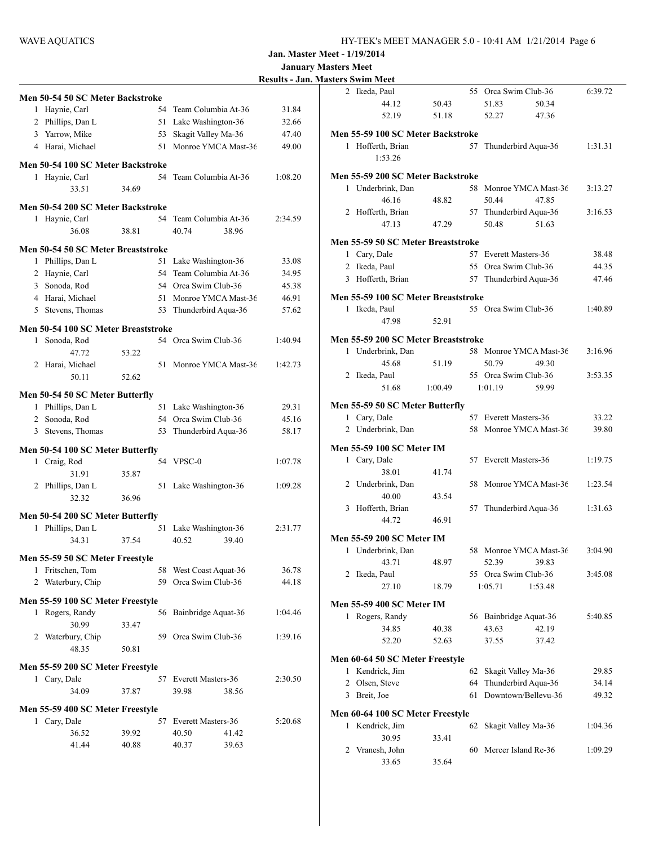|                                                  |       |    |                        |         | <b>January Masters Meet</b><br><b>Results - Jan. Masters Swim Meet</b> |
|--------------------------------------------------|-------|----|------------------------|---------|------------------------------------------------------------------------|
|                                                  |       |    |                        |         | 2 Ikeda, Paul                                                          |
| Men 50-54 50 SC Meter Backstroke                 |       |    |                        |         | 44.12                                                                  |
| 1 Haynie, Carl                                   |       |    | 54 Team Columbia At-36 | 31.84   | 52.1                                                                   |
| 2 Phillips, Dan L                                |       |    | 51 Lake Washington-36  | 32.66   |                                                                        |
| 3 Yarrow, Mike                                   |       | 53 | Skagit Valley Ma-36    | 47.40   | Men 55-59 100 S                                                        |
| 4 Harai, Michael                                 |       | 51 | Monroe YMCA Mast-36    | 49.00   | 1 Hofferth, Br<br>1:53.2                                               |
| Men 50-54 100 SC Meter Backstroke                |       |    |                        |         |                                                                        |
| 1 Haynie, Carl                                   |       |    | 54 Team Columbia At-36 | 1:08.20 | Men 55-59 200 S                                                        |
| 33.51                                            | 34.69 |    |                        |         | 1 Underbrink,                                                          |
| Men 50-54 200 SC Meter Backstroke                |       |    |                        |         | 46.1<br>2 Hofferth, Br                                                 |
| 1 Haynie, Carl                                   |       |    | 54 Team Columbia At-36 | 2:34.59 | 47.11                                                                  |
| 36.08                                            | 38.81 |    | 40.74<br>38.96         |         |                                                                        |
| Men 50-54 50 SC Meter Breaststroke               |       |    |                        |         | Men 55-59 50 SC                                                        |
| 1 Phillips, Dan L                                |       |    | 51 Lake Washington-36  | 33.08   | 1 Cary, Dale                                                           |
| 2 Haynie, Carl                                   |       |    | 54 Team Columbia At-36 | 34.95   | 2 Ikeda, Paul                                                          |
| 3 Sonoda, Rod                                    |       |    | 54 Orca Swim Club-36   | 45.38   | 3 Hofferth, Br                                                         |
| 4 Harai, Michael                                 |       |    | 51 Monroe YMCA Mast-36 | 46.91   | Men 55-59 100 S                                                        |
| 5 Stevens, Thomas                                |       |    | 53 Thunderbird Aqua-36 | 57.62   | 1 Ikeda, Paul                                                          |
| Men 50-54 100 SC Meter Breaststroke              |       |    |                        |         | 47.9                                                                   |
| 1 Sonoda, Rod                                    |       |    | 54 Orca Swim Club-36   | 1:40.94 | Men 55-59 200 S                                                        |
| 47.72                                            | 53.22 |    |                        |         | 1 Underbrink.                                                          |
| 2 Harai, Michael                                 |       |    | 51 Monroe YMCA Mast-36 | 1:42.73 | 45.6                                                                   |
| 50.11                                            | 52.62 |    |                        |         | 2 Ikeda, Paul                                                          |
| Men 50-54 50 SC Meter Butterfly                  |       |    |                        |         | 51.6                                                                   |
| 1 Phillips, Dan L                                |       |    | 51 Lake Washington-36  | 29.31   | Men 55-59 50 SC                                                        |
| 2 Sonoda, Rod                                    |       |    | 54 Orca Swim Club-36   | 45.16   | 1 Cary, Dale                                                           |
| 3 Stevens, Thomas                                |       |    | 53 Thunderbird Aqua-36 | 58.17   | 2 Underbrink,                                                          |
|                                                  |       |    |                        |         |                                                                        |
| Men 50-54 100 SC Meter Butterfly                 |       |    |                        |         | Men 55-59 100 S<br>1 Cary, Dale                                        |
| 1 Craig, Rod                                     |       |    | 54 VPSC-0              | 1:07.78 | 38.0                                                                   |
| 31.91<br>2 Phillips, Dan L                       | 35.87 |    | 51 Lake Washington-36  | 1:09.28 | 2 Underbrink,                                                          |
| 32.32                                            | 36.96 |    |                        |         | 40.0                                                                   |
|                                                  |       |    |                        |         | 3 Hofferth, Br                                                         |
| Men 50-54 200 SC Meter Butterfly                 |       |    |                        |         | 44.72                                                                  |
| 1 Phillips, Dan L                                |       |    | 51 Lake Washington-36  | 2:31.77 |                                                                        |
| 34.31                                            | 37.54 |    | 39.40<br>40.52         |         | Men 55-59 200 S<br>1 Underbrink,                                       |
| Men 55-59 50 SC Meter Freestyle                  |       |    |                        |         | 43.7                                                                   |
| 1 Fritschen, Tom                                 |       |    | 58 West Coast Aquat-36 | 36.78   | 2 Ikeda, Paul                                                          |
| 2 Waterbury, Chip                                |       |    | 59 Orca Swim Club-36   | 44.18   | 27.10                                                                  |
| Men 55-59 100 SC Meter Freestyle                 |       |    |                        |         | Men 55-59 400 S                                                        |
| 1 Rogers, Randy                                  |       |    | 56 Bainbridge Aquat-36 | 1:04.46 | 1 Rogers, Ran                                                          |
| 30.99                                            | 33.47 |    |                        |         | 34.8                                                                   |
| 2 Waterbury, Chip                                |       |    | 59 Orca Swim Club-36   | 1:39.16 | 52.2                                                                   |
| 48.35                                            | 50.81 |    |                        |         |                                                                        |
| Men 55-59 200 SC Meter Freestyle                 |       |    |                        |         | Men 60-64 50 SC                                                        |
| 1 Cary, Dale                                     |       |    | 57 Everett Masters-36  | 2:30.50 | 1 Kendrick, Ji                                                         |
| 34.09                                            | 37.87 |    | 39.98<br>38.56         |         | 2 Olsen, Steve<br>3 Breit, Joe                                         |
|                                                  |       |    |                        |         |                                                                        |
| Men 55-59 400 SC Meter Freestyle<br>1 Cary, Dale |       |    | 57 Everett Masters-36  | 5:20.68 | Men 60-64 100 S                                                        |
| 36.52                                            | 39.92 |    | 40.50<br>41.42         |         | 1 Kendrick, Ji                                                         |
| 41.44                                            | 40.88 |    | 40.37<br>39.63         |         | 30.9                                                                   |
|                                                  |       |    |                        |         | 2 Vranesh, Jol<br>336'                                                 |
|                                                  |       |    |                        |         |                                                                        |

|   | негу эмпи мест                                        |         |    |                        |         |
|---|-------------------------------------------------------|---------|----|------------------------|---------|
|   | 2 Ikeda, Paul                                         |         |    | 55 Orca Swim Club-36   | 6:39.72 |
|   | 44.12                                                 | 50.43   |    | 51.83<br>50.34         |         |
|   | 52.19                                                 | 51.18   |    | 52.27<br>47.36         |         |
|   | Men 55-59 100 SC Meter Backstroke                     |         |    |                        |         |
|   | 1 Hofferth, Brian                                     |         | 57 | Thunderbird Aqua-36    | 1:31.31 |
|   | 1:53.26                                               |         |    |                        |         |
|   |                                                       |         |    |                        |         |
|   | Men 55-59 200 SC Meter Backstroke                     |         |    |                        |         |
|   | 1 Underbrink, Dan                                     |         |    | 58 Monroe YMCA Mast-36 | 3:13.27 |
|   | 46.16                                                 | 48.82   |    | 50.44<br>47.85         |         |
|   | 2 Hofferth, Brian                                     |         |    | 57 Thunderbird Aqua-36 | 3:16.53 |
|   | 47.13                                                 | 47.29   |    | 50.48<br>51.63         |         |
|   | Men 55-59 50 SC Meter Breaststroke                    |         |    |                        |         |
|   | 1 Cary, Dale                                          |         |    | 57 Everett Masters-36  | 38.48   |
|   | 2 Ikeda, Paul                                         |         |    | 55 Orca Swim Club-36   | 44.35   |
|   | 3 Hofferth, Brian                                     |         |    | 57 Thunderbird Aqua-36 | 47.46   |
|   | Men 55-59 100 SC Meter Breaststroke                   |         |    |                        |         |
|   | 1 Ikeda, Paul                                         |         |    | 55 Orca Swim Club-36   | 1:40.89 |
|   | 47.98                                                 | 52.91   |    |                        |         |
|   |                                                       |         |    |                        |         |
|   | Men 55-59 200 SC Meter Breaststroke                   |         |    |                        |         |
|   | 1 Underbrink, Dan                                     |         |    | 58 Monroe YMCA Mast-36 | 3:16.96 |
|   | 45.68                                                 | 51.19   |    | 50.79<br>49.30         |         |
|   | 2 Ikeda, Paul                                         |         |    | 55 Orea Swim Club-36   | 3:53.35 |
|   | 51.68                                                 | 1:00.49 |    | 1:01.19<br>59.99       |         |
|   | Men 55-59 50 SC Meter Butterfly                       |         |    |                        |         |
|   | 1 Cary, Dale                                          |         |    | 57 Everett Masters-36  | 33.22   |
|   | 2 Underbrink, Dan                                     |         |    | 58 Monroe YMCA Mast-36 | 39.80   |
|   | <b>Men 55-59 100 SC Meter IM</b>                      |         |    |                        |         |
|   | 1 Cary, Dale                                          |         |    | 57 Everett Masters-36  | 1:19.75 |
|   | 38.01                                                 | 41.74   |    |                        |         |
|   | 2 Underbrink, Dan                                     |         |    | 58 Monroe YMCA Mast-36 | 1:23.54 |
|   | 40.00                                                 | 43.54   |    |                        |         |
|   | 3 Hofferth, Brian                                     |         |    | 57 Thunderbird Aqua-36 | 1:31.63 |
|   | 44.72                                                 | 46.91   |    |                        |         |
|   |                                                       |         |    |                        |         |
|   | <b>Men 55-59 200 SC Meter IM</b><br>1 Underbrink, Dan |         |    | 58 Monroe YMCA Mast-36 | 3:04.90 |
|   | 43.71                                                 | 48.97   |    | 52.39<br>39.83         |         |
| 2 | Ikeda, Paul                                           |         | 55 | Orca Swim Club-36      | 3:45.08 |
|   | 27.10                                                 | 18.79   |    | 1:05.71<br>1:53.48     |         |
|   |                                                       |         |    |                        |         |
|   | <b>Men 55-59 400 SC Meter IM</b>                      |         |    |                        |         |
|   | 1 Rogers, Randy                                       |         | 56 | Bainbridge Aquat-36    | 5:40.85 |
|   | 34.85                                                 | 40.38   |    | 43.63<br>42.19         |         |
|   | 52.20                                                 | 52.63   |    | 37.55<br>37.42         |         |
|   | Men 60-64 50 SC Meter Freestyle                       |         |    |                        |         |
| 1 | Kendrick, Jim                                         |         | 62 | Skagit Valley Ma-36    | 29.85   |
| 2 | Olsen, Steve                                          |         | 64 | Thunderbird Aqua-36    | 34.14   |
| 3 | Breit, Joe                                            |         | 61 | Downtown/Bellevu-36    | 49.32   |
|   | Men 60-64 100 SC Meter Freestyle                      |         |    |                        |         |
| 1 | Kendrick, Jim                                         |         | 62 | Skagit Valley Ma-36    | 1:04.36 |
|   | 30.95                                                 | 33.41   |    |                        |         |
| 2 | Vranesh, John                                         |         | 60 | Mercer Island Re-36    | 1:09.29 |
|   | 33.65                                                 | 35.64   |    |                        |         |
|   |                                                       |         |    |                        |         |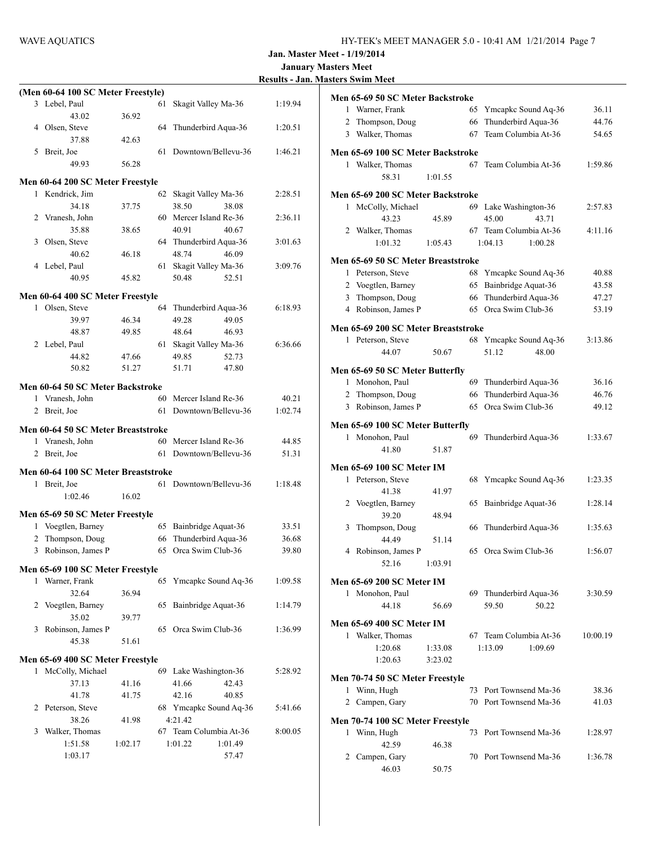65 Ymcapkc Sound Aq-36 36.11 2 Thompson, Doug 66 Thunderbird Aqua-36 44.76 67 Team Columbia At-36 54.65

67 Team Columbia At-36  $1:59.86$ 

69 Lake Washington-36 2:57.83

67 Team Columbia At-36 4:11.16

68 Ymcapkc Sound Aq-36 40.88 65 Bainbridge Aquat-36 43.58 66 Thunderbird Aqua-36 47.27 65 Orca Swim Club-36 53.19

68 Ymcapkc Sound Aq-36  $3:13.86$ 

69 Thunderbird Aqua-36  $36.16$ 2 Thompson, Doug 66 Thunderbird Aqua-36 46.76 65 Orca Swim Club-36 49.12

69 Thunderbird Aqua-36  $1:33.67$ 

68 Ymcapkc Sound Aq-36 1:23.35

65 Bainbridge Aquat-36 1:28.14

 $66$  Thunderbird Aqua-36 1:35.63

65 Orca Swim Club-36 1:56.07

69 Thunderbird Aqua-36  $3:30.59$ 

67 Team Columbia At-36 10:00.19

73 Port Townsend Ma-36 38.36  $70$  Port Townsend Ma-36  $41.03$ 

73 Port Townsend Ma-36 1:28.97

 $70$  Port Townsend Ma-36 1:36.78

59.50 50.22

1:20.68 1:33.08 1:13.09 1:09.69

44.07 50.67 51.12 48.00

43.23 45.89 45.00 43.71

1:01.32 1:05.43 1:04.13 1:00.28

**Jan. Master Meet - 1/19/2014**

|                                     |                |                                          |         | <b>January Masters Meet</b>             |                  |
|-------------------------------------|----------------|------------------------------------------|---------|-----------------------------------------|------------------|
|                                     |                |                                          |         | <b>Results - Jan. Masters Swim Meet</b> |                  |
| (Men 60-64 100 SC Meter Freestyle)  |                |                                          |         | Men 65-69 50 SC Meter Backstroke        |                  |
| 3 Lebel, Paul                       |                | 61 Skagit Valley Ma-36                   | 1:19.94 | 1 Warner, Frank                         | 65               |
| 43.02<br>4 Olsen, Steve             | 36.92          | 64 Thunderbird Aqua-36                   | 1:20.51 | 2 Thompson, Doug                        | 66               |
| 37.88                               | 42.63          |                                          |         | 3 Walker, Thomas                        | 67               |
| 5 Breit, Joe                        |                | 61 Downtown/Bellevu-36                   | 1:46.21 | Men 65-69 100 SC Meter Backstroke       |                  |
| 49.93                               | 56.28          |                                          |         | 1 Walker, Thomas                        | 67               |
|                                     |                |                                          |         | 58.31<br>1:01.55                        |                  |
| Men 60-64 200 SC Meter Freestyle    |                |                                          |         |                                         |                  |
| 1 Kendrick, Jim                     |                | 62 Skagit Valley Ma-36                   | 2:28.51 | Men 65-69 200 SC Meter Backstroke       |                  |
| 34.18<br>2 Vranesh, John            | 37.75          | 38.50<br>38.08<br>60 Mercer Island Re-36 | 2:36.11 | 1 McColly, Michael                      | 69               |
| 35.88                               | 38.65          | 40.91<br>40.67                           |         | 43.23<br>45.89<br>2 Walker, Thomas      | 67               |
| 3 Olsen, Steve                      |                | 64 Thunderbird Aqua-36                   | 3:01.63 | 1:01.32<br>1:05.43                      | $\overline{1}$ : |
| 40.62                               | 46.18          | 46.09<br>48.74                           |         |                                         |                  |
| 4 Lebel, Paul                       |                | 61 Skagit Valley Ma-36                   | 3:09.76 | Men 65-69 50 SC Meter Breaststroke      |                  |
| 40.95                               | 45.82          | 50.48<br>52.51                           |         | 1 Peterson, Steve                       | 68               |
|                                     |                |                                          |         | 2 Voegtlen, Barney                      | 65               |
| Men 60-64 400 SC Meter Freestyle    |                |                                          |         | 3 Thompson, Doug                        | 66               |
| 1 Olsen, Steve                      |                | 64 Thunderbird Aqua-36                   | 6:18.93 | 4 Robinson, James P                     | 65               |
| 39.97<br>48.87                      | 46.34<br>49.85 | 49.28<br>49.05<br>48.64<br>46.93         |         | Men 65-69 200 SC Meter Breaststroke     |                  |
| 2 Lebel, Paul                       |                | 61 Skagit Valley Ma-36                   | 6:36.66 | 1 Peterson, Steve                       | 68               |
| 44.82                               | 47.66          | 49.85<br>52.73                           |         | 44.07<br>50.67                          |                  |
| 50.82                               | 51.27          | 51.71<br>47.80                           |         | Men 65-69 50 SC Meter Butterfly         |                  |
|                                     |                |                                          |         | 1 Monohon, Paul                         | 69               |
| Men 60-64 50 SC Meter Backstroke    |                |                                          |         | 2 Thompson, Doug                        | 66               |
| 1 Vranesh, John                     |                | 60 Mercer Island Re-36                   | 40.21   | 3 Robinson, James P                     | 65               |
| 2 Breit, Joe                        |                | 61 Downtown/Bellevu-36                   | 1:02.74 |                                         |                  |
| Men 60-64 50 SC Meter Breaststroke  |                |                                          |         | Men 65-69 100 SC Meter Butterfly        |                  |
| 1 Vranesh, John                     |                | 60 Mercer Island Re-36                   | 44.85   | 1 Monohon, Paul                         | 69               |
| 2 Breit, Joe                        |                | 61 Downtown/Bellevu-36                   | 51.31   | 41.80<br>51.87                          |                  |
| Men 60-64 100 SC Meter Breaststroke |                |                                          |         | Men 65-69 100 SC Meter IM               |                  |
| 1 Breit, Joe                        |                | 61 Downtown/Bellevu-36                   | 1:18.48 | 1 Peterson, Steve                       | 68               |
| 1:02.46                             | 16.02          |                                          |         | 41.38<br>41.97                          |                  |
|                                     |                |                                          |         | 2 Voegtlen, Barney                      | 65               |
| Men 65-69 50 SC Meter Freestyle     |                |                                          |         | 39.20<br>48.94                          |                  |
| 1 Voegtlen, Barney                  |                | 65 Bainbridge Aquat-36                   | 33.51   | 3<br>Thompson, Doug                     | 66               |
| 2 Thompson, Doug                    |                | 66 Thunderbird Aqua-36                   | 36.68   | 44.49<br>51.14                          |                  |
| 3 Robinson, James P                 |                | 65 Orca Swim Club-36                     | 39.80   | 4 Robinson, James P                     | 65               |
| Men 65-69 100 SC Meter Freestyle    |                |                                          |         | 52.16<br>1:03.91                        |                  |
| 1 Warner, Frank                     |                | 65 Ymcapkc Sound Aq-36                   | 1:09.58 | Men 65-69 200 SC Meter IM               |                  |
| 32.64                               | 36.94          |                                          |         | 1 Monohon, Paul                         | 69               |
| 2 Voegtlen, Barney                  |                | 65 Bainbridge Aquat-36                   | 1:14.79 | 44.18<br>56.69                          |                  |
| 35.02                               | 39.77          |                                          |         | Men 65-69 400 SC Meter IM               |                  |
| 3 Robinson, James P                 |                | 65 Orca Swim Club-36                     | 1:36.99 | 1 Walker, Thomas                        | 67               |
| 45.38                               | 51.61          |                                          |         | 1:33.08<br>1:20.68                      | 1:               |
| Men 65-69 400 SC Meter Freestyle    |                |                                          |         | 1:20.63<br>3:23.02                      |                  |
| 1 McColly, Michael                  |                | 69 Lake Washington-36                    | 5:28.92 |                                         |                  |
| 37.13                               | 41.16          | 41.66<br>42.43                           |         | Men 70-74 50 SC Meter Freestyle         |                  |
| 41.78                               | 41.75          | 42.16<br>40.85                           |         | 1 Winn, Hugh                            | 73               |
| 2 Peterson, Steve                   |                | 68 Ymcapkc Sound Aq-36                   | 5:41.66 | 2 Campen, Gary                          | 70               |
| 38.26                               | 41.98          | 4:21.42                                  |         | Men 70-74 100 SC Meter Freestyle        |                  |
| 3 Walker, Thomas                    |                | 67 Team Columbia At-36                   | 8:00.05 | 1 Winn, Hugh                            | 73               |
| 1:51.58                             | 1:02.17        | 1:01.22<br>1:01.49                       |         | 42.59<br>46.38                          |                  |
| 1:03.17                             |                | 57.47                                    |         | 2 Campen, Gary                          | 70               |
|                                     |                |                                          |         | 46.03<br>50.75                          |                  |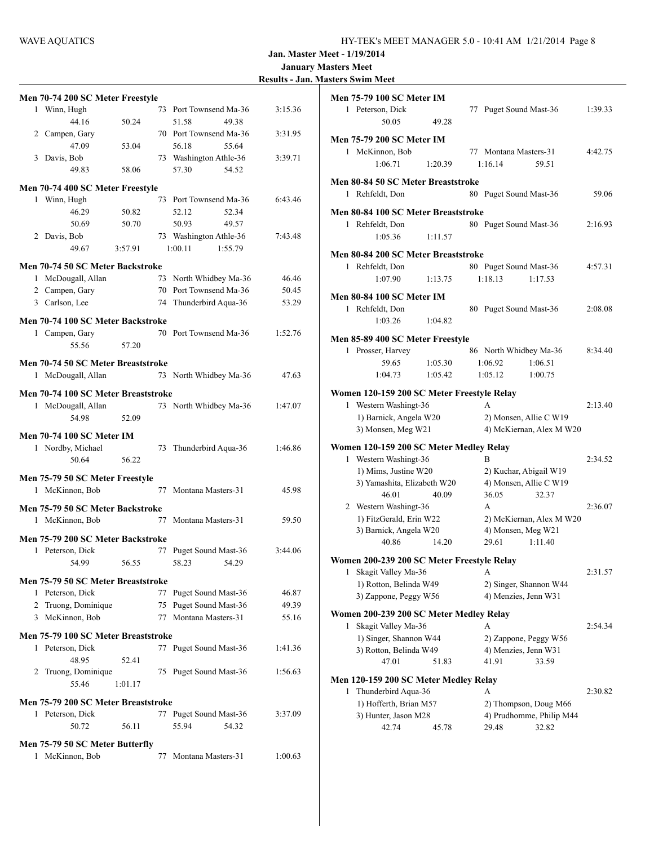| <b>Results - Jan. Masters Swim Meet</b> |  |
|-----------------------------------------|--|
|-----------------------------------------|--|

|   |                                                    |         |    |                        | <b>Kesults - Jar</b> |
|---|----------------------------------------------------|---------|----|------------------------|----------------------|
|   | Men 70-74 200 SC Meter Freestyle                   |         |    |                        |                      |
| 1 | Winn, Hugh                                         |         | 73 | Port Townsend Ma-36    | 3:15.36              |
|   | 44.16                                              | 50.24   |    | 51.58<br>49.38         |                      |
|   | 2 Campen, Gary                                     |         |    | 70 Port Townsend Ma-36 | 3:31.95              |
|   | 47.09                                              | 53.04   |    | 56.18<br>55.64         |                      |
| 3 | Davis, Bob                                         |         |    | 73 Washington Athle-36 | 3:39.71              |
|   | 49.83                                              | 58.06   |    | 57.30<br>54.52         |                      |
|   | Men 70-74 400 SC Meter Freestyle                   |         |    |                        |                      |
|   | 1 Winn, Hugh                                       |         | 73 | Port Townsend Ma-36    | 6:43.46              |
|   | 46.29                                              | 50.82   |    | 52.34<br>52.12         |                      |
|   | 50.69                                              | 50.70   |    | 50.93<br>49.57         |                      |
|   | 2 Davis, Bob                                       |         |    | 73 Washington Athle-36 | 7:43.48              |
|   | 49.67                                              | 3:57.91 |    | 1:00.11<br>1:55.79     |                      |
|   |                                                    |         |    |                        |                      |
|   | Men 70-74 50 SC Meter Backstroke                   |         |    |                        |                      |
|   | 1 McDougall, Allan                                 |         | 73 | North Whidbey Ma-36    | 46.46                |
|   | 2 Campen, Gary                                     |         | 70 | Port Townsend Ma-36    | 50.45                |
|   | 3 Carlson, Lee                                     |         | 74 | Thunderbird Aqua-36    | 53.29                |
|   | Men 70-74 100 SC Meter Backstroke                  |         |    |                        |                      |
|   | 1 Campen, Gary                                     |         |    | 70 Port Townsend Ma-36 | 1:52.76              |
|   | 55.56                                              | 57.20   |    |                        |                      |
|   | Men 70-74 50 SC Meter Breaststroke                 |         |    |                        |                      |
|   | 1 McDougall, Allan                                 |         |    | 73 North Whidbey Ma-36 | 47.63                |
|   |                                                    |         |    |                        |                      |
|   | Men 70-74 100 SC Meter Breaststroke                |         |    |                        |                      |
|   | 1 McDougall, Allan                                 |         |    | 73 North Whidbey Ma-36 | 1:47.07              |
|   | 54.98                                              | 52.09   |    |                        |                      |
|   | Men 70-74 100 SC Meter IM                          |         |    |                        |                      |
|   | 1 Nordby, Michael                                  |         | 73 | Thunderbird Aqua-36    | 1:46.86              |
|   | 50.64                                              | 56.22   |    |                        |                      |
|   |                                                    |         |    |                        |                      |
|   | Men 75-79 50 SC Meter Freestyle<br>1 McKinnon, Bob |         |    | 77 Montana Masters-31  | 45.98                |
|   |                                                    |         |    |                        |                      |
|   | Men 75-79 50 SC Meter Backstroke                   |         |    |                        |                      |
| 1 | McKinnon, Bob                                      |         | 77 | Montana Masters-31     | 59.50                |
|   | Men 75-79 200 SC Meter Backstroke                  |         |    |                        |                      |
| 1 | Peterson, Dick                                     |         | 77 | Puget Sound Mast-36    | 3:44.06              |
|   | 54.99                                              | 56.55   |    | 58.23<br>54.29         |                      |
|   |                                                    |         |    |                        |                      |
|   | Men 75-79 50 SC Meter Breaststroke                 |         |    |                        |                      |
|   | 1 Peterson, Dick                                   |         | 77 | Puget Sound Mast-36    | 46.87                |
|   | 2 Truong, Dominique                                |         | 75 | Puget Sound Mast-36    | 49.39                |
|   | 3 McKinnon, Bob                                    |         | 77 | Montana Masters-31     | 55.16                |
|   | Men 75-79 100 SC Meter Breaststroke                |         |    |                        |                      |
| 1 | Peterson, Dick                                     |         |    | 77 Puget Sound Mast-36 | 1:41.36              |
|   | 48.95                                              | 52.41   |    |                        |                      |
|   | 2 Truong, Dominique                                |         |    | 75 Puget Sound Mast-36 | 1:56.63              |
|   | 55.46                                              | 1:01.17 |    |                        |                      |
|   | Men 75-79 200 SC Meter Breaststroke                |         |    |                        |                      |
|   | 1 Peterson, Dick                                   |         |    | 77 Puget Sound Mast-36 | 3:37.09              |
|   | 50.72                                              | 56.11   |    | 55.94<br>54.32         |                      |
|   |                                                    |         |    |                        |                      |
|   | Men 75-79 50 SC Meter Butterfly                    |         |    |                        |                      |
| 1 | McKinnon, Bob                                      |         | 77 | Montana Masters-31     | 1:00.63              |
|   |                                                    |         |    |                        |                      |

|   | <b>Men 75-79 100 SC Meter IM</b>           |         |                        |                          |         |
|---|--------------------------------------------|---------|------------------------|--------------------------|---------|
|   | 1 Peterson, Dick<br>50.05                  | 49.28   | 77 Puget Sound Mast-36 |                          | 1:39.33 |
|   | <b>Men 75-79 200 SC Meter IM</b>           |         |                        |                          |         |
|   | 1 McKinnon, Bob                            |         | 77 Montana Masters-31  |                          | 4:42.75 |
|   | 1:06.71                                    | 1:20.39 | 1:16.14                | 59.51                    |         |
|   |                                            |         |                        |                          |         |
|   | Men 80-84 50 SC Meter Breaststroke         |         |                        |                          |         |
| 1 | Rehfeldt, Don                              |         | 80 Puget Sound Mast-36 |                          | 59.06   |
|   | Men 80-84 100 SC Meter Breaststroke        |         |                        |                          |         |
|   | 1 Rehfeldt, Don                            |         | 80 Puget Sound Mast-36 |                          | 2:16.93 |
|   | 1:05.36                                    | 1:11.57 |                        |                          |         |
|   |                                            |         |                        |                          |         |
|   | Men 80-84 200 SC Meter Breaststroke        |         |                        |                          |         |
|   | 1 Rehfeldt, Don                            |         | 80 Puget Sound Mast-36 |                          | 4:57.31 |
|   | 1:07.90                                    | 1:13.75 | 1:18.13                | 1:17.53                  |         |
|   | Men 80-84 100 SC Meter IM                  |         |                        |                          |         |
|   | 1 Rehfeldt, Don                            |         | 80 Puget Sound Mast-36 |                          | 2:08.08 |
|   | 1:03.26                                    | 1:04.82 |                        |                          |         |
|   |                                            |         |                        |                          |         |
|   | Men 85-89 400 SC Meter Freestyle           |         |                        |                          | 8:34.40 |
|   | 1 Prosser, Harvey                          |         | 86 North Whidbey Ma-36 |                          |         |
|   | 59.65                                      | 1:05.30 | 1:06.92                | 1:06.51                  |         |
|   | 1:04.73                                    | 1:05.42 | 1:05.12                | 1:00.75                  |         |
|   | Women 120-159 200 SC Meter Freestyle Relay |         |                        |                          |         |
| 1 | Western Washingt-36                        |         | A                      |                          | 2:13.40 |
|   | 1) Barnick, Angela W20                     |         | 2) Monsen, Allie C W19 |                          |         |
|   | 3) Monsen, Meg W21                         |         |                        | 4) McKiernan, Alex M W20 |         |
|   | Women 120-159 200 SC Meter Medley Relay    |         |                        |                          |         |
|   | 1 Western Washingt-36                      |         | R                      |                          | 2:34.52 |
|   | 1) Mims, Justine W20                       |         | 2) Kuchar, Abigail W19 |                          |         |
|   | 3) Yamashita, Elizabeth W20                |         | 4) Monsen, Allie C W19 |                          |         |
|   | 46.01                                      | 40.09   | 36.05                  | 32.37                    |         |
|   | 2 Western Washingt-36                      |         | A                      |                          | 2:36.07 |
|   | 1) FitzGerald, Erin W22                    |         |                        | 2) McKiernan, Alex M W20 |         |
|   | 3) Barnick, Angela W20                     |         | 4) Monsen, Meg W21     |                          |         |
|   | 40.86                                      | 14.20   | 29.61                  | 1:11.40                  |         |
|   |                                            |         |                        |                          |         |
|   | Women 200-239 200 SC Meter Freestyle Relay |         |                        |                          |         |
|   | 1 Skagit Valley Ma-36                      |         | А                      |                          | 2:31.57 |
|   | 1) Rotton, Belinda W49                     |         | 2) Singer, Shannon W44 |                          |         |
|   | 3) Zappone, Peggy W56                      |         | 4) Menzies, Jenn W31   |                          |         |
|   | Women 200-239 200 SC Meter Medley Relay    |         |                        |                          |         |
| 1 | Skagit Valley Ma-36                        |         | А                      |                          | 2:54.34 |
|   | 1) Singer, Shannon W44                     |         | 2) Zappone, Peggy W56  |                          |         |
|   | 3) Rotton, Belinda W49                     |         | 4) Menzies, Jenn W31   |                          |         |
|   | 47.01                                      | 51.83   | 41.91                  | 33.59                    |         |
|   |                                            |         |                        |                          |         |
|   | Men 120-159 200 SC Meter Medley Relay      |         |                        |                          |         |
| 1 | Thunderbird Aqua-36                        |         | A                      |                          | 2:30.82 |
|   | 1) Hofferth, Brian M57                     |         | 2) Thompson, Doug M66  |                          |         |
|   | 3) Hunter, Jason M28                       |         |                        | 4) Prudhomme, Philip M44 |         |
|   | 42.74                                      | 45.78   | 29.48                  | 32.82                    |         |
|   |                                            |         |                        |                          |         |